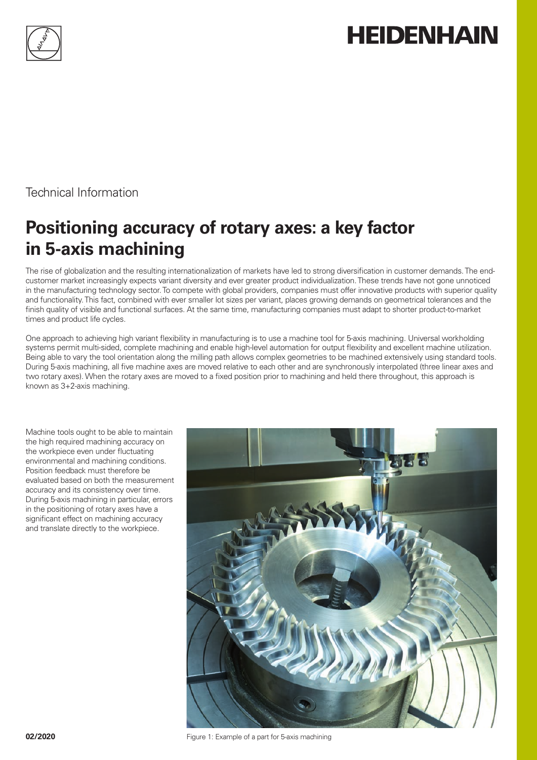

# **HEIDENHAIN**

Technical Information

## **Positioning accuracy of rotary axes: a key factor in 5-axis machining**

The rise of globalization and the resulting internationalization of markets have led to strong diversification in customer demands. The endcustomer market increasingly expects variant diversity and ever greater product individualization. These trends have not gone unnoticed in the manufacturing technology sector. To compete with global providers, companies must offer innovative products with superior quality and functionality. This fact, combined with ever smaller lot sizes per variant, places growing demands on geometrical tolerances and the finish quality of visible and functional surfaces. At the same time, manufacturing companies must adapt to shorter product-to-market times and product life cycles.

One approach to achieving high variant flexibility in manufacturing is to use a machine tool for 5-axis machining. Universal workholding systems permit multi-sided, complete machining and enable high-level automation for output flexibility and excellent machine utilization. Being able to vary the tool orientation along the milling path allows complex geometries to be machined extensively using standard tools. During 5-axis machining, all five machine axes are moved relative to each other and are synchronously interpolated (three linear axes and two rotary axes). When the rotary axes are moved to a fixed position prior to machining and held there throughout, this approach is known as 3+2-axis machining.

Machine tools ought to be able to maintain the high required machining accuracy on the workpiece even under fluctuating environmental and machining conditions. Position feedback must therefore be evaluated based on both the measurement accuracy and its consistency over time. During 5-axis machining in particular, errors in the positioning of rotary axes have a significant effect on machining accuracy and translate directly to the workpiece.



**02/2020 COLLEGATE:** Figure 1: Example of a part for 5-axis machining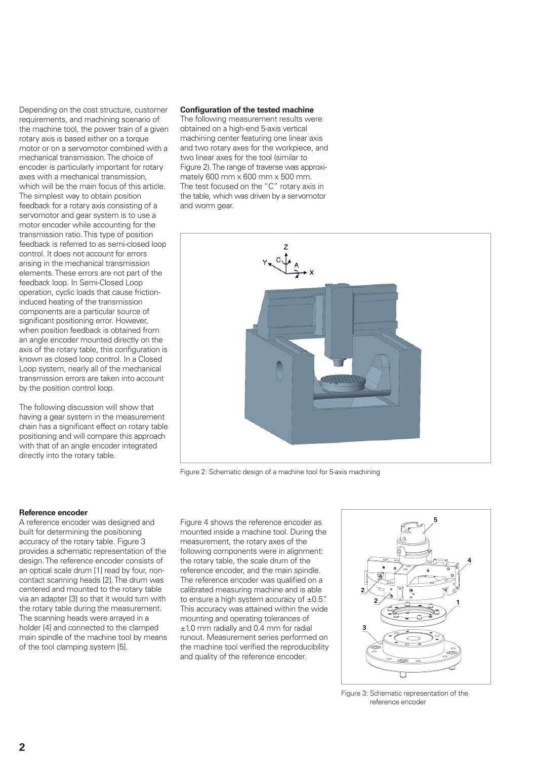Depending on the cost structure, customer requirements, and machining scenario of the machine tool, the power train of a given rotary axis is based either on a torque motor or on a servomotor combined with a mechanical transmission. The choice of encoder is particularly important for rotary axes with a mechanical transmission, which will be the main focus of this article. The simplest way to obtain position feedback for a rotary axis consisting of a servomotor and gear system is to use a motor encoder while accounting for the transmission ratio. This type of position feedback is referred to as semi-closed loop control. It does not account for errors arising in the mechanical transmission elements. These errors are not part of the feedback loop. In Semi-Closed Loop operation, cyclic loads that cause frictioninduced heating of the transmission components are a particular source of significant positioning error. However, when position feedback is obtained from an angle encoder mounted directly on the axis of the rotary table, this configuration is known as closed loop control. In a Closed Loop system, nearly all of the mechanical transmission errors are taken into account by the position control loop.

The following discussion will show that having a gear system in the measurement chain has a significant effect on rotary table positioning and will compare this approach with that of an angle encoder integrated directly into the rotary table.

#### **Configuration of the tested machine**

The following measurement results were obtained on a high-end 5-axis vertical machining center featuring one linear axis and two rotary axes for the workpiece, and two linear axes for the tool (similar to Figure 2). The range of traverse was approximately 600 mm x 600 mm x 500 mm. The test focused on the "C" rotary axis in the table, which was driven by a servomotor and worm gear.



Figure 2: Schematic design of a machine tool for 5-axis machining

#### **Reference encoder**

A reference encoder was designed and built for determining the positioning accuracy of the rotary table. Figure 3 provides a schematic representation of the design. The reference encoder consists of an optical scale drum [1] read by four, noncontact scanning heads [2]. The drum was centered and mounted to the rotary table via an adapter [3] so that it would turn with the rotary table during the measurement. The scanning heads were arrayed in a holder [4] and connected to the clamped main spindle of the machine tool by means of the tool clamping system [5].

Figure 4 shows the reference encoder as mounted inside a machine tool. During the measurement, the rotary axes of the following components were in alignment: the rotary table, the scale drum of the reference encoder, and the main spindle. The reference encoder was qualified on a calibrated measuring machine and is able to ensure a high system accuracy of  $\pm 0.5$ ". This accuracy was attained within the wide mounting and operating tolerances of ±1.0 mm radially and 0.4 mm for radial runout. Measurement series performed on the machine tool verified the reproducibility and quality of the reference encoder.



Figure 3: Schematic representation of the reference encoder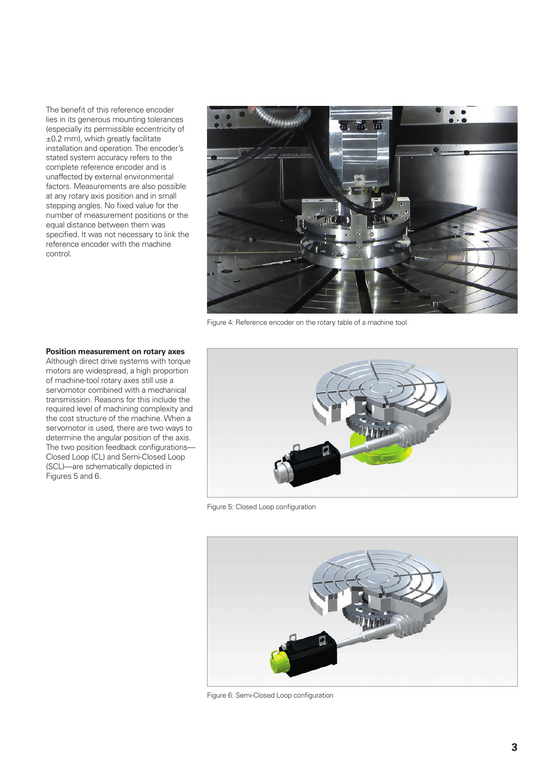The benefit of this reference encoder lies in its generous mounting tolerances (especially its permissible eccentricity of ±0.2 mm), which greatly facilitate installation and operation. The encoder's stated system accuracy refers to the complete reference encoder and is unaffected by external environmental factors. Measurements are also possible at any rotary axis position and in small stepping angles. No fixed value for the number of measurement positions or the equal distance between them was specified. It was not necessary to link the reference encoder with the machine control.



Figure 4: Reference encoder on the rotary table of a machine tool

#### **Position measurement on rotary axes**

Although direct drive systems with torque motors are widespread, a high proportion of machine-tool rotary axes still use a servomotor combined with a mechanical transmission. Reasons for this include the required level of machining complexity and the cost structure of the machine. When a servomotor is used, there are two ways to determine the angular position of the axis. The two position feedback configurations— Closed Loop (CL) and Semi-Closed Loop (SCL)—are schematically depicted in Figures 5 and 6.



Figure 5: Closed Loop configuration



Figure 6: Semi-Closed Loop configuration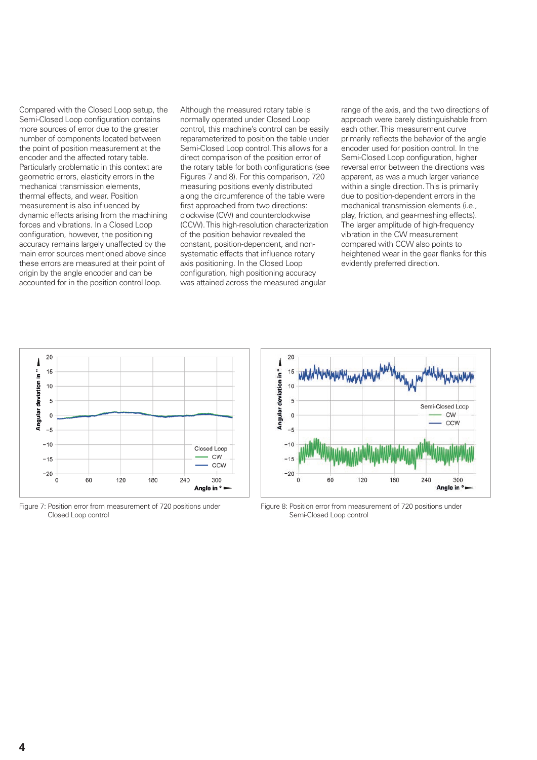Compared with the Closed Loop setup, the Semi-Closed Loop configuration contains more sources of error due to the greater number of components located between the point of position measurement at the encoder and the affected rotary table. Particularly problematic in this context are geometric errors, elasticity errors in the mechanical transmission elements, thermal effects, and wear. Position measurement is also influenced by dynamic effects arising from the machining forces and vibrations. In a Closed Loop configuration, however, the positioning accuracy remains largely unaffected by the main error sources mentioned above since these errors are measured at their point of origin by the angle encoder and can be accounted for in the position control loop.

Although the measured rotary table is normally operated under Closed Loop control, this machine's control can be easily reparameterized to position the table under Semi-Closed Loop control. This allows for a direct comparison of the position error of the rotary table for both configurations (see Figures 7 and 8). For this comparison, 720 measuring positions evenly distributed along the circumference of the table were first approached from two directions: clockwise (CW) and counterclockwise (CCW). This high-resolution characterization of the position behavior revealed the constant, position-dependent, and nonsystematic effects that influence rotary axis positioning. In the Closed Loop configuration, high positioning accuracy was attained across the measured angular

range of the axis, and the two directions of approach were barely distinguishable from each other. This measurement curve primarily reflects the behavior of the angle encoder used for position control. In the Semi-Closed Loop configuration, higher reversal error between the directions was apparent, as was a much larger variance within a single direction. This is primarily due to position-dependent errors in the mechanical transmission elements (i.e., play, friction, and gear-meshing effects). The larger amplitude of high-frequency vibration in the CW measurement compared with CCW also points to heightened wear in the gear flanks for this evidently preferred direction.



Figure 7: Position error from measurement of 720 positions under Closed Loop control



Figure 8: Position error from measurement of 720 positions under Semi-Closed Loop control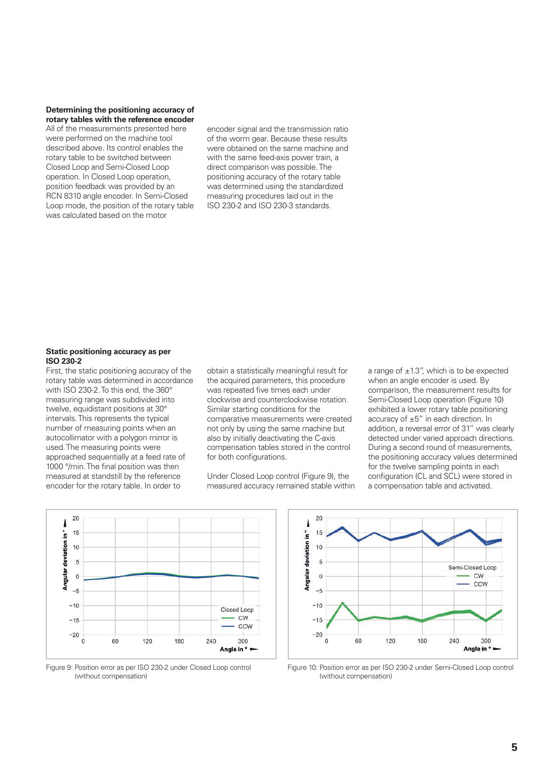#### **Determining the positioning accuracy of rotary tables with the reference encoder**

All of the measurements presented here were performed on the machine tool described above. Its control enables the rotary table to be switched between Closed Loop and Semi-Closed Loop operation. In Closed Loop operation, position feedback was provided by an RCN 8310 angle encoder. In Semi-Closed Loop mode, the position of the rotary table was calculated based on the motor

encoder signal and the transmission ratio of the worm gear. Because these results were obtained on the same machine and with the same feed-axis power train, a direct comparison was possible. The positioning accuracy of the rotary table was determined using the standardized measuring procedures laid out in the ISO 230-2 and ISO 230-3 standards.

#### **Static positioning accuracy as per ISO 230-2**

First, the static positioning accuracy of the rotary table was determined in accordance with ISO 230-2. To this end, the 360° measuring range was subdivided into twelve, equidistant positions at 30° intervals. This represents the typical number of measuring points when an autocollimator with a polygon mirror is used. The measuring points were approached sequentially at a feed rate of 1000 °/min. The final position was then measured at standstill by the reference encoder for the rotary table. In order to

obtain a statistically meaningful result for the acquired parameters, this procedure was repeated five times each under clockwise and counterclockwise rotation. Similar starting conditions for the comparative measurements were created not only by using the same machine but also by initially deactivating the C-axis compensation tables stored in the control for both configurations.

Under Closed Loop control (Figure 9), the measured accuracy remained stable within

a range of  $\pm 1.3$ ", which is to be expected when an angle encoder is used. By comparison, the measurement results for Semi-Closed Loop operation (Figure 10) exhibited a lower rotary table positioning accuracy of ±5" in each direction. In addition, a reversal error of 31" was clearly detected under varied approach directions. During a second round of measurements, the positioning accuracy values determined for the twelve sampling points in each configuration (CL and SCL) were stored in a compensation table and activated.



Figure 9: Position error as per ISO 230-2 under Closed Loop control (without compensation)



Figure 10: Position error as per ISO 230-2 under Semi-Closed Loop control (without compensation)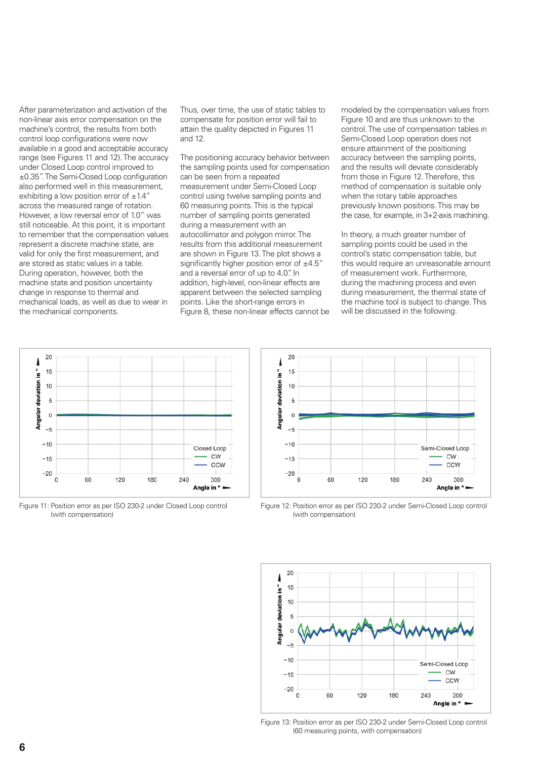After parameterization and activation of the non-linear axis error compensation on the machine's control, the results from both control loop configurations were now available in a good and acceptable accuracy range (see Figures 11 and 12). The accuracy under Closed Loop control improved to ±0.35". The Semi-Closed Loop configuration also performed well in this measurement, exhibiting a low position error of  $\pm 1.4$ " across the measured range of rotation. However, a low reversal error of 1.0" was still noticeable. At this point, it is important to remember that the compensation values represent a discrete machine state, are valid for only the first measurement, and are stored as static values in a table. During operation, however, both the machine state and position uncertainty change in response to thermal and mechanical loads, as well as due to wear in the mechanical components.

Thus, over time, the use of static tables to compensate for position error will fail to attain the quality depicted in Figures 11 and 12.

The positioning accuracy behavior between the sampling points used for compensation can be seen from a repeated measurement under Semi-Closed Loop control using twelve sampling points and 60 measuring points. This is the typical number of sampling points generated during a measurement with an autocollimator and polygon mirror. The results from this additional measurement are shown in Figure 13. The plot shows a significantly higher position error of  $\pm 4.5$ " and a reversal error of up to 4.0". In addition, high-level, non-linear effects are apparent between the selected sampling points. Like the short-range errors in Figure 8, these non-linear effects cannot be

modeled by the compensation values from Figure 10 and are thus unknown to the control. The use of compensation tables in Semi-Closed Loop operation does not ensure attainment of the positioning accuracy between the sampling points and the results will deviate considerably from those in Figure 12. Therefore, this method of compensation is suitable only when the rotary table approaches previously known positions. This may be the case, for example, in 3+2-axis machining.

In theory, a much greater number of sampling points could be used in the control's static compensation table, but this would require an unreasonable amount of measurement work. Furthermore, during the machining process and even during measurement, the thermal state of the machine tool is subject to change. This will be discussed in the following.



Figure 11: Position error as per ISO 230-2 under Closed Loop control (with compensation)



Figure 12: Position error as per ISO 230-2 under Semi-Closed Loop control (with compensation)



Figure 13: Position error as per ISO 230-2 under Semi-Closed Loop control (60 measuring points, with compensation)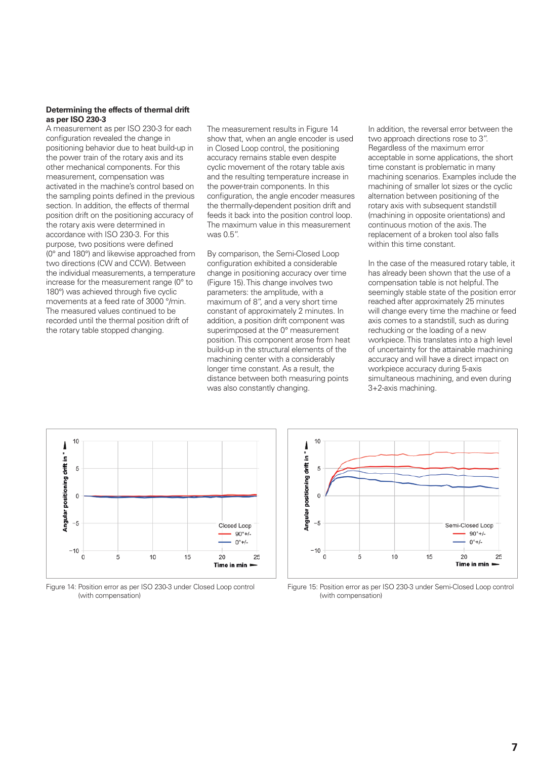#### **Determining the effects of thermal drift as per ISO 230-3**

A measurement as per ISO 230-3 for each configuration revealed the change in positioning behavior due to heat build-up in the power train of the rotary axis and its other mechanical components. For this measurement, compensation was activated in the machine's control based on the sampling points defined in the previous section. In addition, the effects of thermal position drift on the positioning accuracy of the rotary axis were determined in accordance with ISO 230-3. For this purpose, two positions were defined (0° and 180°) and likewise approached from two directions (CW and CCW). Between the individual measurements, a temperature increase for the measurement range (0° to 180°) was achieved through five cyclic movements at a feed rate of 3000 °/min. The measured values continued to be recorded until the thermal position drift of the rotary table stopped changing.

The measurement results in Figure 14 show that, when an angle encoder is used in Closed Loop control, the positioning accuracy remains stable even despite cyclic movement of the rotary table axis and the resulting temperature increase in the power-train components. In this configuration, the angle encoder measures the thermally-dependent position drift and feeds it back into the position control loop. The maximum value in this measurement was 0.5".

By comparison, the Semi-Closed Loop configuration exhibited a considerable change in positioning accuracy over time (Figure 15). This change involves two parameters: the amplitude, with a maximum of 8", and a very short time constant of approximately 2 minutes. In addition, a position drift component was superimposed at the 0° measurement position. This component arose from heat build-up in the structural elements of the machining center with a considerably longer time constant. As a result, the distance between both measuring points was also constantly changing.

In addition, the reversal error between the two approach directions rose to 3". Regardless of the maximum error acceptable in some applications, the short time constant is problematic in many machining scenarios. Examples include the machining of smaller lot sizes or the cyclic alternation between positioning of the rotary axis with subsequent standstill (machining in opposite orientations) and continuous motion of the axis. The replacement of a broken tool also falls within this time constant.

In the case of the measured rotary table, it has already been shown that the use of a compensation table is not helpful. The seemingly stable state of the position error reached after approximately 25 minutes will change every time the machine or feed axis comes to a standstill, such as during rechucking or the loading of a new workpiece. This translates into a high level of uncertainty for the attainable machining accuracy and will have a direct impact on workpiece accuracy during 5-axis simultaneous machining, and even during 3+2-axis machining.



Figure 14: Position error as per ISO 230-3 under Closed Loop control (with compensation)



Figure 15: Position error as per ISO 230-3 under Semi-Closed Loop control (with compensation)